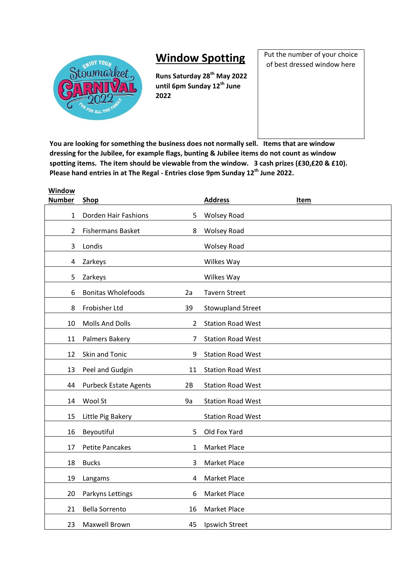

**Window** 

## **Window Spotting**

**Runs Saturday 28th May 2022 until 6pm Sunday 12th June**  

Put the number of your choice of best dressed window here

**You are looking for something the business does not normally sell. Items that are window dressing for the Jubilee, for example flags, bunting & Jubilee items do not count as window spotting items. The item should be viewable from the window. 3 cash prizes (£30,£20 & £10). Please hand entries in at The Regal - Entries close 9pm Sunday 12th June 2022.**

| window<br><b>Number</b> | Shop                                     | <b>Address</b>           | Item |
|-------------------------|------------------------------------------|--------------------------|------|
| 1                       | Dorden Hair Fashions<br>5                | <b>Wolsey Road</b>       |      |
| $\overline{2}$          | <b>Fishermans Basket</b><br>8            | <b>Wolsey Road</b>       |      |
| 3                       | Londis                                   | <b>Wolsey Road</b>       |      |
| 4                       | Zarkeys                                  | Wilkes Way               |      |
| 5                       | Zarkeys                                  | Wilkes Way               |      |
| 6                       | <b>Bonitas Wholefoods</b><br>2a          | <b>Tavern Street</b>     |      |
| 8                       | Frobisher Ltd<br>39                      | <b>Stowupland Street</b> |      |
| 10                      | <b>Molls And Dolls</b><br>$\overline{2}$ | <b>Station Road West</b> |      |
| 11                      | Palmers Bakery<br>7                      | <b>Station Road West</b> |      |
| 12                      | Skin and Tonic<br>9                      | <b>Station Road West</b> |      |
| 13                      | Peel and Gudgin<br>11                    | <b>Station Road West</b> |      |
| 44                      | <b>Purbeck Estate Agents</b><br>2B       | <b>Station Road West</b> |      |
| 14                      | Wool St<br>9a                            | <b>Station Road West</b> |      |
| 15                      | Little Pig Bakery                        | <b>Station Road West</b> |      |
| 16                      | Beyoutiful<br>5                          | Old Fox Yard             |      |
| 17                      | <b>Petite Pancakes</b><br>1              | Market Place             |      |
| 18                      | <b>Bucks</b><br>3                        | Market Place             |      |
| 19                      | Langams<br>$\overline{4}$                | Market Place             |      |
| 20                      | Parkyns Lettings<br>6                    | <b>Market Place</b>      |      |
| 21                      | <b>Bella Sorrento</b><br>16              | Market Place             |      |
| 23                      | Maxwell Brown<br>45                      | Ipswich Street           |      |